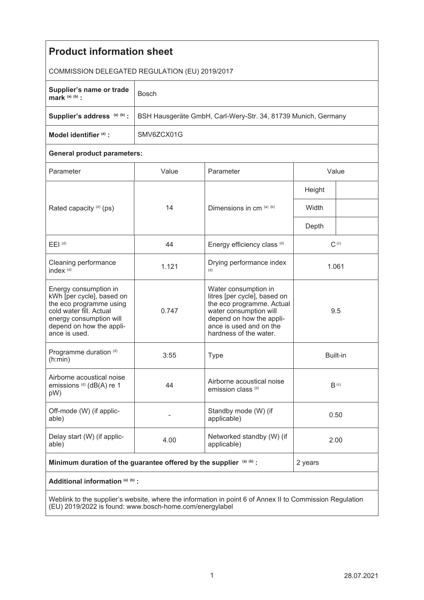| <b>Product information sheet</b>                                                                                                                                                 |                                                               |                                                                                                                                                                                              |                  |  |
|----------------------------------------------------------------------------------------------------------------------------------------------------------------------------------|---------------------------------------------------------------|----------------------------------------------------------------------------------------------------------------------------------------------------------------------------------------------|------------------|--|
| COMMISSION DELEGATED REGULATION (EU) 2019/2017                                                                                                                                   |                                                               |                                                                                                                                                                                              |                  |  |
| Supplier's name or trade<br>mark $(a)$ $(b)$ :                                                                                                                                   | <b>Bosch</b>                                                  |                                                                                                                                                                                              |                  |  |
| Supplier's address (a) (b) :                                                                                                                                                     | BSH Hausgeräte GmbH, Carl-Wery-Str. 34, 81739 Munich, Germany |                                                                                                                                                                                              |                  |  |
| Model identifier (a) :                                                                                                                                                           | SMV6ZCX01G                                                    |                                                                                                                                                                                              |                  |  |
| <b>General product parameters:</b>                                                                                                                                               |                                                               |                                                                                                                                                                                              |                  |  |
| Parameter                                                                                                                                                                        | Value                                                         | Parameter                                                                                                                                                                                    | Value            |  |
| Rated capacity (d) (ps)                                                                                                                                                          | 14                                                            | Dimensions in cm (a) (b)                                                                                                                                                                     | Height           |  |
|                                                                                                                                                                                  |                                                               |                                                                                                                                                                                              | Width            |  |
|                                                                                                                                                                                  |                                                               |                                                                                                                                                                                              | Depth            |  |
| $E EI$ <sup>(d)</sup>                                                                                                                                                            | 44                                                            | Energy efficiency class (d)                                                                                                                                                                  | $C^{(c)}$        |  |
| Cleaning performance<br>index <sup>(d)</sup>                                                                                                                                     | 1.121                                                         | Drying performance index<br>(d)                                                                                                                                                              | 1.061            |  |
| Energy consumption in<br>kWh [per cycle], based on<br>the eco programme using<br>cold water fill. Actual<br>energy consumption will<br>depend on how the appli-<br>ance is used. | 0.747                                                         | Water consumption in<br>litres [per cycle], based on<br>the eco programme. Actual<br>water consumption will<br>depend on how the appli-<br>ance is used and on the<br>hardness of the water. | 9.5              |  |
| Programme duration (d)<br>(h:min)                                                                                                                                                | 3:55                                                          | <b>Type</b>                                                                                                                                                                                  | Built-in         |  |
| Airborne acoustical noise<br>emissions <sup>(d)</sup> (dB(A) re 1<br>pW)                                                                                                         | 44                                                            | Airborne acoustical noise<br>emission class <sup>(d)</sup>                                                                                                                                   | B <sub>(c)</sub> |  |
| Off-mode (W) (if applic-<br>able)                                                                                                                                                |                                                               | Standby mode (W) (if<br>applicable)                                                                                                                                                          | 0.50             |  |
| Delay start (W) (if applic-<br>able)                                                                                                                                             | 4.00                                                          | Networked standby (W) (if<br>applicable)                                                                                                                                                     | 2.00             |  |
| Minimum duration of the guarantee offered by the supplier (a) (b) :                                                                                                              |                                                               |                                                                                                                                                                                              | 2 years          |  |
| Additional information (a) (b) :                                                                                                                                                 |                                                               |                                                                                                                                                                                              |                  |  |
| Weblink to the supplier's website, where the information in point 6 of Annex II to Commission Requision                                                                          |                                                               |                                                                                                                                                                                              |                  |  |

Weblink to the supplier's website, where the information in point 6 of Annex II to Commission Regulation (EU) 2019/2022 is found: www.bosch-home.com/energylabel